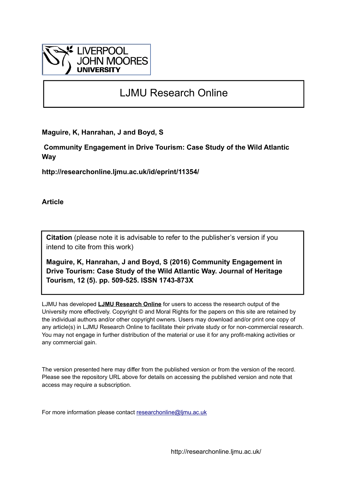

# LJMU Research Online

**Maguire, K, Hanrahan, J and Boyd, S**

 **Community Engagement in Drive Tourism: Case Study of the Wild Atlantic Way**

**http://researchonline.ljmu.ac.uk/id/eprint/11354/**

**Article**

**Citation** (please note it is advisable to refer to the publisher's version if you intend to cite from this work)

**Maguire, K, Hanrahan, J and Boyd, S (2016) Community Engagement in Drive Tourism: Case Study of the Wild Atlantic Way. Journal of Heritage Tourism, 12 (5). pp. 509-525. ISSN 1743-873X** 

LJMU has developed **[LJMU Research Online](http://researchonline.ljmu.ac.uk/)** for users to access the research output of the University more effectively. Copyright © and Moral Rights for the papers on this site are retained by the individual authors and/or other copyright owners. Users may download and/or print one copy of any article(s) in LJMU Research Online to facilitate their private study or for non-commercial research. You may not engage in further distribution of the material or use it for any profit-making activities or any commercial gain.

The version presented here may differ from the published version or from the version of the record. Please see the repository URL above for details on accessing the published version and note that access may require a subscription.

For more information please contact [researchonline@ljmu.ac.uk](mailto:researchonline@ljmu.ac.uk)

http://researchonline.ljmu.ac.uk/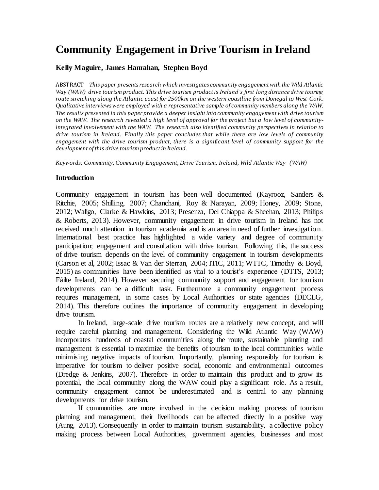# **Community Engagement in Drive Tourism in Ireland**

#### **Kelly Maguire, James Hanrahan, Stephen Boyd**

ABSTRACT *This paper presents research which investigates community engagement with the Wild Atlantic Way (WAW) drive tourism product. This drive tourism product is Ireland's first long distance drive touring route stretching along the Atlantic coast for 2500km on the western coastline from Donegal to West Cork. Qualitative interviews were employed with a representative sample of community members along the WAW. The results presented in this paper provide a deeper insight into community engagement with drive tourism on the WAW. The research revealed a high level of approval for the project but a low level of communityintegrated involvement with the WAW. The research also identified community perspectives in relation to drive tourism in Ireland. Finally this paper concludes that while there are low levels of community engagement with the drive tourism product, there is a significant level of community support for the development of this drive tourism product in Ireland.*

*Keywords: Community, Community Engagement, Drive Tourism, Ireland, Wild Atlantic Way (WAW)*

#### **Introduction**

Community engagement in tourism has been well documented (Kayrooz, Sanders & Ritchie, 2005; Shilling, 2007; Chanchani, Roy & Narayan, 2009; Honey, 2009; Stone, 2012; Waligo, Clarke & Hawkins, 2013; Presenza, Del Chiappa & Sheehan, 2013; Philips & Roberts, 2013). However, community engagement in drive tourism in Ireland has not received much attention in tourism academia and is an area in need of further investigation. International best practice has highlighted a wide variety and degree of community participation; engagement and consultation with drive tourism. Following this, the success of drive tourism depends on the level of community engagement in tourism developments (Carson et al, 2002; Issac & Van der Sterran, 2004; ITIC, 2011; WTTC, Timothy & Boyd, 2015) as communities have been identified as vital to a tourist's experience (DTTS, 2013; Fáilte Ireland, 2014). However securing community support and engagement for tourism developments can be a difficult task. Furthermore a community engagement process requires management, in some cases by Local Authorities or state agencies (DECLG, 2014). This therefore outlines the importance of community engagement in developing drive tourism.

In Ireland, large-scale drive tourism routes are a relatively new concept, and will require careful planning and management. Considering the Wild Atlantic Way (WAW) incorporates hundreds of coastal communities along the route, sustainable planning and management is essential to maximize the benefits of tourism to the local communities while minimising negative impacts of tourism. Importantly, planning responsibly for tourism is imperative for tourism to deliver positive social, economic and environmental outcomes (Dredge & Jenkins, 2007). Therefore in order to maintain this product and to grow its potential, the local community along the WAW could play a significant role. As a result, community engagement cannot be underestimated and is central to any planning developments for drive tourism.

If communities are more involved in the decision making process of tourism planning and management, their livelihoods can be affected directly in a positive way (Aung, 2013). Consequently in order to maintain tourism sustainability, a collective policy making process between Local Authorities, government agencies, businesses and most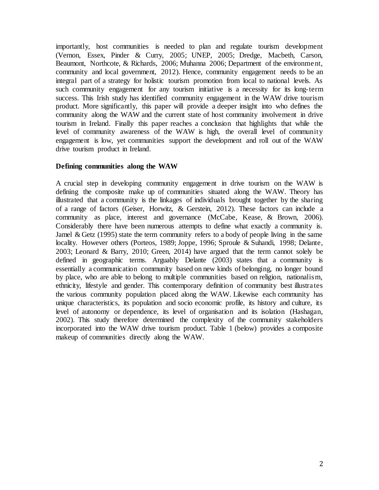importantly, host communities is needed to plan and regulate tourism development (Vernon, Essex, Pinder & Curry, 2005; UNEP, 2005; Dredge, Macbeth, Carson, Beaumont, Northcote, & Richards, 2006; Muhanna 2006; Department of the environment, community and local government, 2012). Hence, community engagement needs to be an integral part of a strategy for holistic tourism promotion from local to national levels. As such community engagement for any tourism initiative is a necessity for its long-term success. This Irish study has identified community engagement in the WAW drive tourism product. More significantly, this paper will provide a deeper insight into who defines the community along the WAW and the current state of host community involvement in drive tourism in Ireland. Finally this paper reaches a conclusion that highlights that while the level of community awareness of the WAW is high, the overall level of community engagement is low, yet communities support the development and roll out of the WAW drive tourism product in Ireland.

## **Defining communities along the WAW**

A crucial step in developing community engagement in drive tourism on the WAW is defining the composite make up of communities situated along the WAW. Theory has illustrated that a community is the linkages of individuals brought together by the sharing of a range of factors (Geiser, Horwitz, & Gerstein, 2012). These factors can include a community as place, interest and governance (McCabe, Kease, & Brown, 2006). Considerably there have been numerous attempts to define what exactly a community is. Jamel  $\&$  Getz (1995) state the term community refers to a body of people living in the same locality. However others (Porteos, 1989; Joppe, 1996; Sproule & Suhandi, 1998; Delante, 2003; Leonard & Barry, 2010; Green, 2014) have argued that the term cannot solely be defined in geographic terms. Arguably Delante (2003) states that a community is essentially a communication community based on new kinds of belonging, no longer bound by place, who are able to belong to multiple communities based on religion, nationalism, ethnicity, lifestyle and gender. This contemporary definition of community best illustrates the various community population placed along the WAW. Likewise each community has unique characteristics, its population and socio economic profile, its history and culture, its level of autonomy or dependence, its level of organisation and its isolation (Hashagan, 2002). This study therefore determined the complexity of the community stakeholders incorporated into the WAW drive tourism product. Table 1 (below) provides a composite makeup of communities directly along the WAW.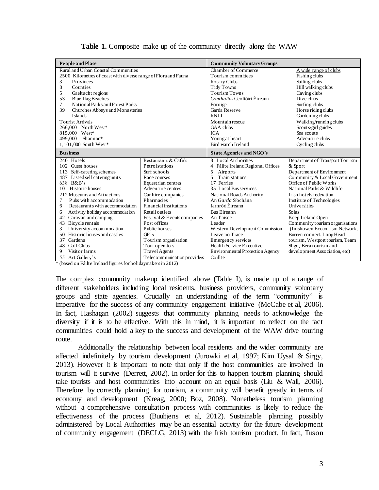| <b>People and Place</b>                                        |                             | <b>Community Voluntary Groups</b>      |                                 |  |
|----------------------------------------------------------------|-----------------------------|----------------------------------------|---------------------------------|--|
| Rural and Urban Coastal Communities                            |                             | Chamber of Commerce                    | A wide range of clubs           |  |
| 2500 Kilometres of coast with diverse range of Flora and Fauna |                             | Tourism committees                     | <b>Fishing clubs</b>            |  |
| 3<br>Provinces                                                 |                             | Rotary Clubs                           | Sailing clubs                   |  |
| 8<br>Counties                                                  |                             | Tidy Towns                             | Hill walking clubs              |  |
| 5<br>Gaeltacht regions                                         |                             | <b>Tourism Towns</b>                   | Caving clubs                    |  |
| 53<br><b>Blue flag Beaches</b>                                 |                             | Comhaltas Ceoltóirí Éireann            | Dive clubs                      |  |
| National Parks and Forest Parks<br>7                           |                             | Foroige                                | Surfing clubs                   |  |
| 39<br>Churches Abbeys and Monasteries                          |                             | Garda Reserve                          | Horse riding clubs              |  |
| Islands                                                        |                             | <b>RNLI</b>                            | Gardening clubs                 |  |
| <b>Tourist Arrivals</b>                                        |                             | Mountain rescue                        | Walking/running clubs           |  |
| 266,000 North West*                                            |                             | GAA clubs                              | Scouts/girl guides              |  |
| 815,000 West*                                                  |                             | <b>ICA</b>                             | Sea scouts                      |  |
| 499,000<br>Shannon*                                            |                             | Young at heart                         | Adventure clubs                 |  |
| 1,101,000 South West*                                          |                             | Bird watch Ireland                     | Cycling clubs                   |  |
| <b>Business</b>                                                |                             | <b>State Agencies and NGO's</b>        |                                 |  |
| 240 Hotels                                                     | Restaurants & Café's        | 8 Local Authorities                    | Department of Transport Tourism |  |
| 102 Guest houses                                               | Petrolstations              | 4 Fáilte Ireland Regional Offices      | & Sport                         |  |
| 113 Self-catering schemes                                      | Surf schools                | <b>Airports</b><br>5                   | Department of Environment       |  |
| 487 Listed self catering units                                 | Race courses                | 5<br>Train stations                    | Community & Local Government    |  |
| 638 B&B's                                                      | Equestrian centres          | 17 Ferries                             | Office of Public Works          |  |
| Historic houses<br>10                                          | Adventure centres           | 35 Local Bus services                  | National Parks & Wildlife       |  |
| 212 Museums and Attractions                                    | Car hire companies          | National Roads Authority               | Irish hotels federation         |  |
| 7<br>Pubs with accommodation                                   | Pharmacies                  | An Garda Síochána                      | Institute of Technologies       |  |
| Restaurants with accommodation<br>6                            | Financial institutions      | Iarnród Éireann                        | Universities                    |  |
| Activity holiday accommodation<br>6                            | Retail outlets              | <b>Bus Eireann</b>                     | Solas                           |  |
| 42 Caravan and camping                                         | Festival & Events companies | An Taisce                              | Keep Ireland Open               |  |
| Bicycle rentals<br>43                                          | Post offices                | Leader                                 | Community tourism organisations |  |
| University accommodation<br>3                                  | Public houses               | Western Development Commission         | (Inishowen Ecotourism Network,  |  |
| Historic houses and castles<br>50                              | GP's                        | Leave no Trace                         | Burren connect. Loop Head       |  |
| Gardens<br>37                                                  | Tourism organisation        | Emergency services                     | tourism, Westport tourism, Team |  |
| <b>Golf Clubs</b><br>48                                        | Tour operators              | Health Service Executive               | Sligo, Bera tourism and         |  |
| Visitor farms<br>9                                             | <b>Travel Agents</b>        | <b>Environmental Protection Agency</b> | development Association, etc)   |  |
| 55 Art Gallery's                                               | Telecommunication providers | Coillte                                |                                 |  |

| <b>Table 1.</b> Composite make up of the community directly along the WAW |  |  |
|---------------------------------------------------------------------------|--|--|
|                                                                           |  |  |

\* (based on Fáilte Ireland figures for holidaymakers in 2012)

The complex community makeup identified above (Table I), is made up of a range of different stakeholders including local residents, business providers, community voluntary groups and state agencies. Crucially an understanding of the term "community" is imperative for the success of any community engagement initiative (McCabe et al, 2006). In fact, Hashagan (2002) suggests that community planning needs to acknowledge the diversity if it is to be effective. With this in mind, it is important to reflect on the fact communities could hold a key to the success and development of the WAW drive touring route.

Additionally the relationship between local residents and the wider community are affected indefinitely by tourism development (Jurowki et al, 1997; Kim Uysal & Sirgy, 2013). However it is important to note that only if the host communities are involved in tourism will it survive (Derrett, 2002). In order for this to happen tourism planning should take tourists and host communities into account on an equal basis (Liu & Wall, 2006). Therefore by correctly planning for tourism, a community will benefit greatly in terms of economy and development (Kreag, 2000; Boz, 2008). Nonetheless tourism planning without a comprehensive consultation process with communities is likely to reduce the effectiveness of the process (Buultiens et al. 2012). Sustainable planning possibly administered by Local Authorities may be an essential activity for the future development of community engagement (DECLG, 2013) with the Irish tourism product. In fact, Tuson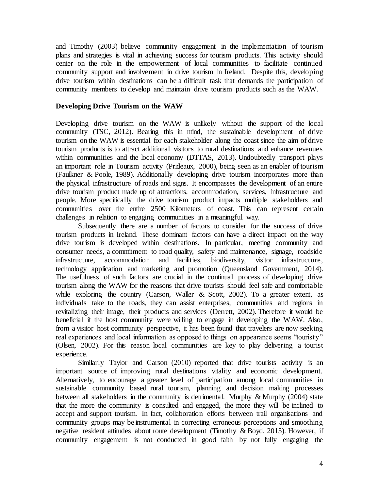and Timothy (2003) believe community engagement in the implementation of tourism plans and strategies is vital in achieving success for tourism products. This activity should center on the role in the empowerment of local communities to facilitate continued community support and involvement in drive tourism in Ireland. Despite this, developing drive tourism within destinations can be a difficult task that demands the participation of community members to develop and maintain drive tourism products such as the WAW.

#### **Developing Drive Tourism on the WAW**

Developing drive tourism on the WAW is unlikely without the support of the local community (TSC, 2012). Bearing this in mind, the sustainable development of drive tourism on the WAW is essential for each stakeholder along the coast since the aim of drive tourism products is to attract additional visitors to rural destinations and enhance revenues within communities and the local economy (DTTAS, 2013). Undoubtedly transport plays an important role in Tourism activity (Prideaux, 2000), being seen as an enabler of tourism (Faulkner & Poole, 1989). Additionally developing drive tourism incorporates more than the physical infrastructure of roads and signs. It encompasses the development of an entire drive tourism product made up of attractions, accommodation, services, infrastructure and people. More specifically the drive tourism product impacts multiple stakeholders and communities over the entire 2500 Kilometers of coast. This can represent certain challenges in relation to engaging communities in a meaningful way.

Subsequently there are a number of factors to consider for the success of drive tourism products in Ireland. These dominant factors can have a direct impact on the way drive tourism is developed within destinations. In particular, meeting community and consumer needs, a commitment to road quality, safety and maintenance, signage, roadside infrastructure, accommodation and facilities, biodiversity, visitor infrastructure, technology application and marketing and promotion (Queensland Government, 2014). The usefulness of such factors are crucial in the continual process of developing drive tourism along the WAW for the reasons that drive tourists should feel safe and comfortable while exploring the country (Carson, Waller & Scott, 2002). To a greater extent, as individuals take to the roads, they can assist enterprises, communities and regions in revitalizing their image, their products and services (Derrett, 2002). Therefore it would be beneficial if the host community were willing to engage in developing the WAW. Also, from a visitor host community perspective, it has been found that travelers are now seeking real experiences and local information as opposed to things on appearance seems "touristy" (Olsen, 2002). For this reason local communities are key to play delivering a tourist experience.

Similarly Taylor and Carson (2010) reported that drive tourists activity is an important source of improving rural destinations vitality and economic development. Alternatively, to encourage a greater level of participation among local communities in sustainable community based rural tourism, planning and decision making processes between all stakeholders in the community is detrimental. Murphy & Murphy (2004) state that the more the community is consulted and engaged, the more they will be inclined to accept and support tourism. In fact, collaboration efforts between trail organisations and community groups may be instrumental in correcting erroneous perceptions and smoothing negative resident attitudes about route development (Timothy & Boyd, 2015). However, if community engagement is not conducted in good faith by not fully engaging the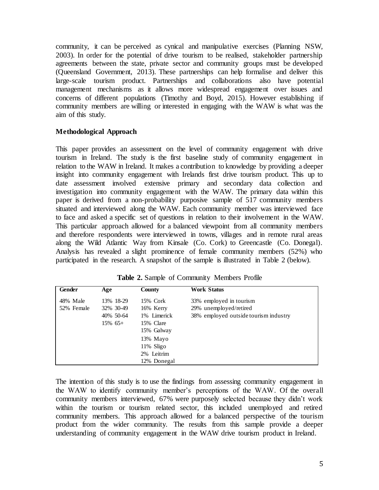community, it can be perceived as cynical and manipulative exercises (Planning NSW, 2003). In order for the potential of drive tourism to be realised, stakeholder partnership agreements between the state, private sector and community groups must be developed (Queensland Government, 2013). These partnerships can help formalise and deliver this large-scale tourism product. Partnerships and collaborations also have potential management mechanisms as it allows more widespread engagement over issues and concerns of different populations (Timothy and Boyd, 2015). However establishing if community members are willing or interested in engaging with the WAW is what was the aim of this study.

## **Methodological Approach**

This paper provides an assessment on the level of community engagement with drive tourism in Ireland. The study is the first baseline study of community engagement in relation to the WAW in Ireland. It makes a contribution to knowledge by providing a deeper insight into community engagement with Irelands first drive tourism product. This up to date assessment involved extensive primary and secondary data collection and investigation into community engagement with the WAW. The primary data within this paper is derived from a non-probability purposive sample of 517 community members situated and interviewed along the WAW. Each community member was interviewed face to face and asked a specific set of questions in relation to their involvement in the WAW. This particular approach allowed for a balanced viewpoint from all community members and therefore respondents were interviewed in towns, villages and in remote rural areas along the Wild Atlantic Way from Kinsale (Co. Cork) to Greencastle (Co. Donegal). Analysis has revealed a slight prominence of female community members (52%) who participated in the research. A snapshot of the sample is illustrated in Table 2 (below).

| Gender     | Age        | County       | <b>Work Status</b>                    |
|------------|------------|--------------|---------------------------------------|
| 48% Male   | 13% 18-29  | 15% Cork     | 33% employed in tourism               |
| 52% Female | 32% 30-49  | 16% Kerry    | 29% unemployed/retired                |
|            | 40% 50-64  | 1% Limerick  | 38% employed outside tourism industry |
|            | $15\%$ 65+ | 15% Clare    |                                       |
|            |            | 15% Galway   |                                       |
|            |            | 13% Mayo     |                                       |
|            |            | $11\%$ Sligo |                                       |
|            |            | 2% Leitrim   |                                       |
|            |            | 12% Donegal  |                                       |

**Table 2.** Sample of Community Members Profile

The intention of this study is to use the findings from assessing community engagement in the WAW to identify community member's perceptions of the WAW. Of the overall community members interviewed, 67% were purposely selected because they didn't work within the tourism or tourism related sector, this included unemployed and retired community members. This approach allowed for a balanced perspective of the tourism product from the wider community. The results from this sample provide a deeper understanding of community engagement in the WAW drive tourism product in Ireland.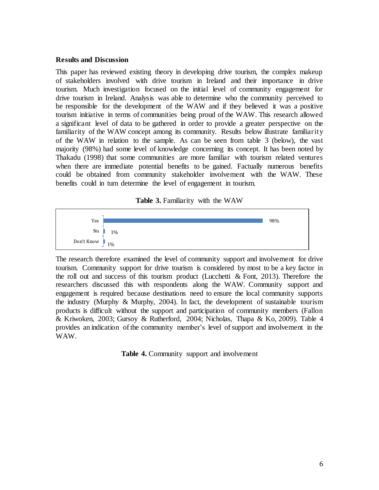#### **Results and Discussion**

This paper has reviewed existing theory in developing drive tourism, the complex makeup of stakeholders involved with drive tourism in Ireland and their importance in drive tourism. Much investigation focused on the initial level of community engagement for drive tourism in Ireland. Analysis was able to determine who the community perceived to be responsible for the development of the WAW and if they believed it was a positive tourism initiative in terms of communities being proud of the WAW. This research allowed a significant level of data to be gathered in order to provide a greater perspective on the familiarity of the WAW concept among its community. Results below illustrate familiarity of the WAW in relation to the sample. As can be seen from table 3 (below), the vast majority (98%) had some level of knowledge concerning its concept. It has been noted by Thakadu (1998) that some communities are more familiar with tourism related ventures when there are immediate potential benefits to be gained. Factually numerous benefits could be obtained from community stakeholder involvement with the WAW. These benefits could in turn determine the level of engagement in tourism.

|  |  | Table 3. Familiarity with the WAW |  |  |  |
|--|--|-----------------------------------|--|--|--|
|--|--|-----------------------------------|--|--|--|



The research therefore examined the level of community support and involvement for drive tourism. Community support for drive tourism is considered by most to be a key factor in the roll out and success of this tourism product (Lucchetti & Font, 2013). Therefore the researchers discussed this with respondents along the WAW. Community support and engagement is required because destinations need to ensure the local community supports the industry (Murphy  $\&$  Murphy, 2004). In fact, the development of sustainable tourism products is difficult without the support and participation of community members (Fallon & Kriwoken, 2003; Gursoy & Rutherford, 2004; Nicholas, Thapa & Ko, 2009). Table 4 provides an indication of the community member's level of support and involvement in the WAW.

**Table 4.** Community support and involvement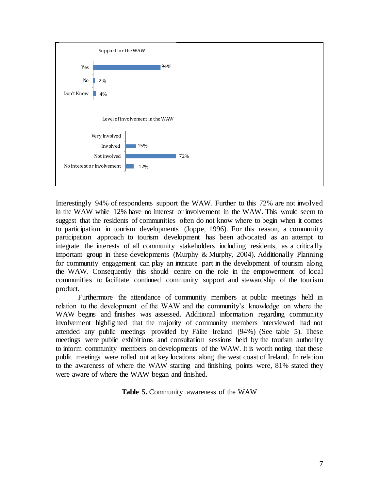

Interestingly 94% of respondents support the WAW. Further to this 72% are not involved in the WAW while 12% have no interest or involvement in the WAW. This would seem to suggest that the residents of communities often do not know where to begin when it comes to participation in tourism developments (Joppe, 1996). For this reason, a community participation approach to tourism development has been advocated as an attempt to integrate the interests of all community stakeholders including residents, as a critically important group in these developments (Murphy & Murphy, 2004). Additionally Planning for community engagement can play an intricate part in the development of tourism along the WAW. Consequently this should centre on the role in the empowerment of local communities to facilitate continued community support and stewardship of the tourism product.

Furthermore the attendance of community members at public meetings held in relation to the development of the WAW and the community's knowledge on where the WAW begins and finishes was assessed. Additional information regarding community involvement highlighted that the majority of community members interviewed had not attended any public meetings provided by Fáilte Ireland (94%) (See table 5). These meetings were public exhibitions and consultation sessions held by the tourism authority to inform community members on developments of the WAW. It is worth noting that these public meetings were rolled out at key locations along the west coast of Ireland. In relation to the awareness of where the WAW starting and finishing points were, 81% stated they were aware of where the WAW began and finished.

**Table 5.** Community awareness of the WAW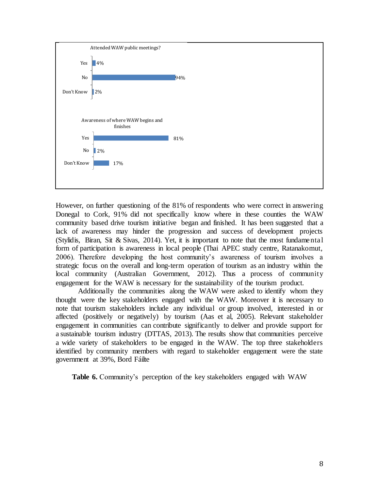

However, on further questioning of the 81% of respondents who were correct in answering Donegal to Cork, 91% did not specifically know where in these counties the WAW community based drive tourism initiative began and finished. It has been suggested that a lack of awareness may hinder the progression and success of development projects (Stylidis, Biran, Sit & Sivas, 2014). Yet, it is important to note that the most fundamental form of participation is awareness in local people (Thai APEC study centre, Ratanakomut, 2006). Therefore developing the host community's awareness of tourism involves a strategic focus on the overall and long-term operation of tourism as an industry within the local community (Australian Government, 2012). Thus a process of community engagement for the WAW is necessary for the sustainability of the tourism product.

Additionally the communities along the WAW were asked to identify whom they thought were the key stakeholders engaged with the WAW. Moreover it is necessary to note that tourism stakeholders include any individual or group involved, interested in or affected (positively or negatively) by tourism (Aas et al, 2005). Relevant stakeholder engagement in communities can contribute significantly to deliver and provide support for a sustainable tourism industry (DTTAS, 2013). The results show that communities perceive a wide variety of stakeholders to be engaged in the WAW. The top three stakeholders identified by community members with regard to stakeholder engagement were the state government at 39%, Bord Fáilte

**Table 6.** Community's perception of the key stakeholders engaged with WAW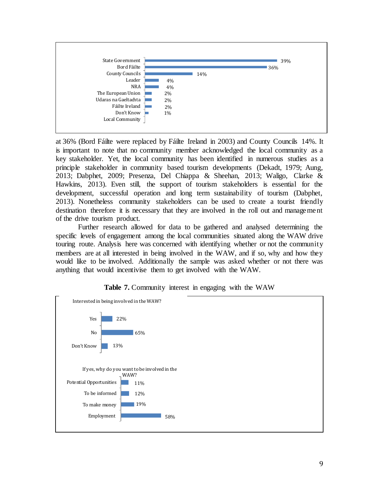

at 36% (Bord Fáilte were replaced by Fáilte Ireland in 2003) and County Councils 14%. It is important to note that no community member acknowledged the local community as a key stakeholder. Yet, the local community has been identified in numerous studies as a principle stakeholder in community based tourism developments (Dekadt, 1979; Aung, 2013; Dabphet, 2009; Presenza, Del Chiappa & Sheehan, 2013; Waligo, Clarke & Hawkins, 2013). Even still, the support of tourism stakeholders is essential for the development, successful operation and long term sustainability of tourism (Dabphet, 2013). Nonetheless community stakeholders can be used to create a tourist friendly destination therefore it is necessary that they are involved in the roll out and management of the drive tourism product.

Further research allowed for data to be gathered and analysed determining the specific levels of engagement among the local communities situated along the WAW drive touring route. Analysis here was concerned with identifying whether or not the community members are at all interested in being involved in the WAW, and if so, why and how they would like to be involved. Additionally the sample was asked whether or not there was anything that would incentivise them to get involved with the WAW.



## **Table 7.** Community interest in engaging with the WAW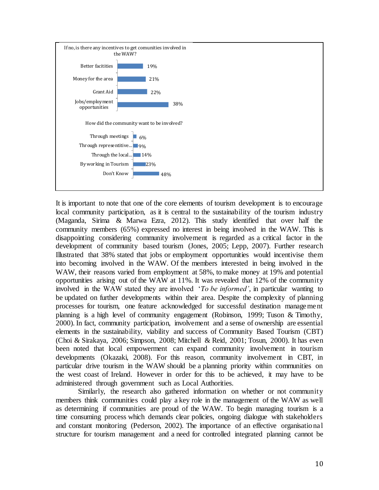

It is important to note that one of the core elements of tourism development is to encourage local community participation, as it is central to the sustainability of the tourism industry (Maganda, Sirima & Marwa Ezra, 2012). This study identified that over half the community members (65%) expressed no interest in being involved in the WAW. This is disappointing considering community involvement is regarded as a critical factor in the development of community based tourism (Jones, 2005; Lepp, 2007). Further research Illustrated that 38% stated that jobs or employment opportunities would incentivise them into becoming involved in the WAW. Of the members interested in being involved in the WAW, their reasons varied from employment at 58%, to make money at 19% and potential opportunities arising out of the WAW at 11%. It was revealed that 12% of the community involved in the WAW stated they are involved '*To be informed'*, in particular wanting to be updated on further developments within their area. Despite the complexity of planning processes for tourism, one feature acknowledged for successful destination management planning is a high level of community engagement (Robinson, 1999; Tuson & Timothy, 2000). In fact, community participation, involvement and a sense of ownership are essential elements in the sustainability, viability and success of Community Based Tourism (CBT) (Choi & Sirakaya, 2006; Simpson, 2008; Mitchell & Reid, 2001; Tosun, 2000). It has even been noted that local empowerment can expand community involvement in tourism developments (Okazaki, 2008). For this reason, community involvement in CBT, in particular drive tourism in the WAW should be a planning priority within communities on the west coast of Ireland. However in order for this to be achieved, it may have to be administered through government such as Local Authorities.

Similarly, the research also gathered information on whether or not community members think communities could play a key role in the management of the WAW as well as determining if communities are proud of the WAW. To begin managing tourism is a time consuming process which demands clear policies, ongoing dialogue with stakeholders and constant monitoring (Pederson, 2002). The importance of an effective organisational structure for tourism management and a need for controlled integrated planning cannot be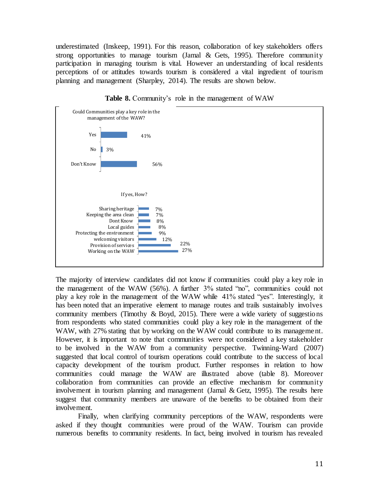underestimated (Inskeep, 1991). For this reason, collaboration of key stakeholders offers strong opportunities to manage tourism (Jamal & Gets, 1995). Therefore community participation in managing tourism is vital. However an understanding of local residents perceptions of or attitudes towards tourism is considered a vital ingredient of tourism planning and management (Sharpley, 2014). The results are shown below.



**Table 8.** Community's role in the management of WAW

The majority of interview candidates did not know if communities could play a key role in the management of the WAW (56%). A further 3% stated "no", communities could not play a key role in the management of the WAW while 41% stated "yes". Interestingly, it has been noted that an imperative element to manage routes and trails sustainably involves community members (Timothy  $\&$  Boyd, 2015). There were a wide variety of suggestions from respondents who stated communities could play a key role in the management of the WAW, with 27% stating that by working on the WAW could contribute to its management. However, it is important to note that communities were not considered a key stakeholder to be involved in the WAW from a community perspective. Twinning-Ward (2007) suggested that local control of tourism operations could contribute to the success of local capacity development of the tourism product. Further responses in relation to how communities could manage the WAW are illustrated above (table 8). Moreover collaboration from communities can provide an effective mechanism for community involvement in tourism planning and management (Jamal & Getz, 1995). The results here suggest that community members are unaware of the benefits to be obtained from their involvement.

Finally, when clarifying community perceptions of the WAW, respondents were asked if they thought communities were proud of the WAW. Tourism can provide numerous benefits to community residents. In fact, being involved in tourism has revealed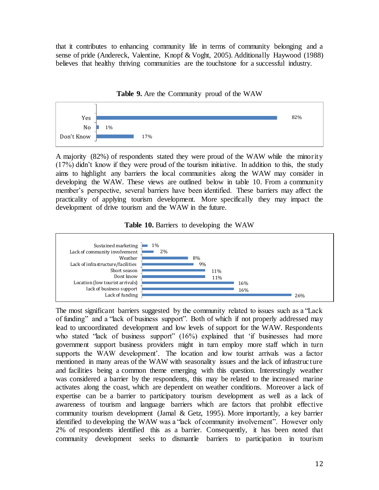that it contributes to enhancing community life in terms of community belonging and a sense of pride (Andereck, Valentine, Knopf & Voght, 2005). Additionally Haywood (1988) believes that healthy thriving communities are the touchstone for a successful industry.



**Table 9.** Are the Community proud of the WAW

A majority (82%) of respondents stated they were proud of the WAW while the minority (17%) didn't know if they were proud of the tourism initiative. In addition to this, the study aims to highlight any barriers the local communities along the WAW may consider in developing the WAW. These views are outlined below in table 10. From a community member's perspective, several barriers have been identified. These barriers may affect the practicality of applying tourism development. More specifically they may impact the development of drive tourism and the WAW in the future.





The most significant barriers suggested by the community related to issues such as a "Lack of funding" and a "lack of business support". Both of which if not properly addressed may lead to uncoordinated development and low levels of support for the WAW. Respondents who stated "lack of business support" (16%) explained that 'if businesses had more government support business providers might in turn employ more staff which in turn supports the WAW development'. The location and low tourist arrivals was a factor mentioned in many areas of the WAW with seasonality issues and the lack of infrastructure and facilities being a common theme emerging with this question. Interestingly weather was considered a barrier by the respondents, this may be related to the increased marine activates along the coast, which are dependent on weather conditions. Moreover a lack of expertise can be a barrier to participatory tourism development as well as a lack of awareness of tourism and language barriers which are factors that prohibit effective community tourism development (Jamal & Getz, 1995). More importantly, a key barrier identified to developing the WAW was a "lack of community involvement". However only 2% of respondents identified this as a barrier. Consequently, it has been noted that community development seeks to dismantle barriers to participation in tourism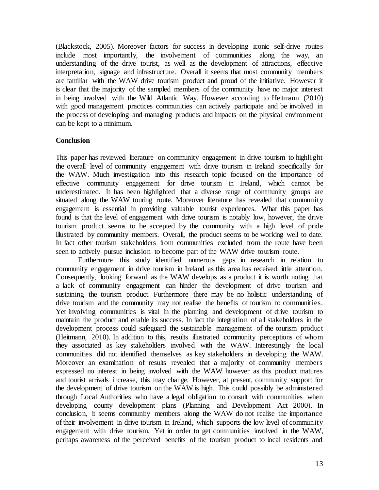(Blackstock, 2005). Moreover factors for success in developing iconic self-drive routes include most importantly, the involvement of communities along the way, an understanding of the drive tourist, as well as the development of attractions, effective interpretation, signage and infrastructure. Overall it seems that most community members are familiar with the WAW drive tourism product and proud of the initiative. However it is clear that the majority of the sampled members of the community have no major interest in being involved with the Wild Atlantic Way. However according to Heitmann (2010) with good management practices communities can actively participate and be involved in the process of developing and managing products and impacts on the physical environment can be kept to a minimum.

## **Conclusion**

This paper has reviewed literature on community engagement in drive tourism to highlight the overall level of community engagement with drive tourism in Ireland specifically for the WAW. Much investigation into this research topic focused on the importance of effective community engagement for drive tourism in Ireland, which cannot be underestimated. It has been highlighted that a diverse range of community groups are situated along the WAW touring route. Moreover literature has revealed that community engagement is essential in providing valuable tourist experiences. What this paper has found is that the level of engagement with drive tourism is notably low, however, the drive tourism product seems to be accepted by the community with a high level of pride illustrated by community members. Overall, the product seems to be working well to date. In fact other tourism stakeholders from communities excluded from the route have been seen to actively pursue inclusion to become part of the WAW drive tourism route.

Furthermore this study identified numerous gaps in research in relation to community engagement in drive tourism in Ireland as this area has received little attention. Consequently, looking forward as the WAW develops as a product it is worth noting that a lack of community engagement can hinder the development of drive tourism and sustaining the tourism product. Furthermore there may be no holistic understanding of drive tourism and the community may not realise the benefits of tourism to communities. Yet involving communities is vital in the planning and development of drive tourism to maintain the product and enable its success. In fact the integration of all stakeholders in the development process could safeguard the sustainable management of the tourism product (Heitmann, 2010). In addition to this, results illustrated community perceptions of whom they associated as key stakeholders involved with the WAW. Interestingly the local communities did not identified themselves as key stakeholders in developing the WAW. Moreover an examination of results revealed that a majority of community members expressed no interest in being involved with the WAW however as this product matures and tourist arrivals increase, this may change. However, at present, community support for the development of drive tourism on the WAW is high. This could possibly be administered through Local Authorities who have a legal obligation to consult with communities when developing county development plans (Planning and Development Act 2000). In conclusion, it seems community members along the WAW do not realise the importance of their involvement in drive tourism in Ireland, which supports the low level of community engagement with drive tourism. Yet in order to get communities involved in the WAW, perhaps awareness of the perceived benefits of the tourism product to local residents and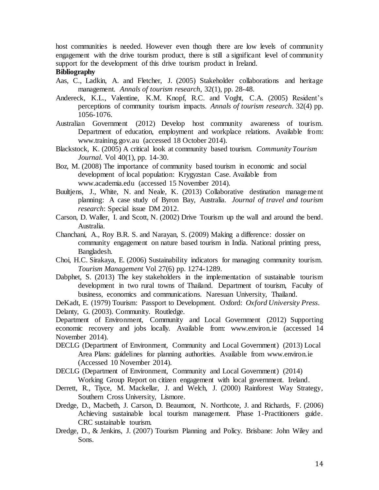host communities is needed. However even though there are low levels of community engagement with the drive tourism product, there is still a significant level of community support for the development of this drive tourism product in Ireland.

# **Bibliography**

- Aas, C., Ladkin, A. and Fletcher, J. (2005) Stakeholder collaborations and heritage management. *Annals of tourism research*, 32(1), pp. 28-48.
- Andereck, K.L., Valentine, K.M. Knopf, R.C. and Voght, C.A. (2005) Resident's perceptions of community tourism impacts. *Annals of tourism research*. 32(4) pp. 1056-1076.
- Australian Government (2012) Develop host community awareness of tourism. Department of education, employment and workplace relations. Available from: www.training.gov.au (accessed 18 October 2014).
- Blackstock, K. (2005) A critical look at community based tourism. *Community Tourism Journal*. Vol 40(1), pp. 14-30.
- Boz, M. (2008) The importance of community based tourism in economic and social development of local population: Krygyzstan Case. Available from www.academia.edu (accessed 15 November 2014).
- Buultiens, J., White, N. and Neale, K. (2013) Collaborative destination management planning: A case study of Byron Bay, Australia. *Journal of travel and tourism research*: Special issue DM 2012.
- Carson, D. Waller, I. and Scott, N. (2002) Drive Tourism up the wall and around the bend. Australia.
- Chanchani, A., Roy B.R. S. and Narayan, S. (2009) Making a difference: dossier on community engagement on nature based tourism in India. National printing press, Bangladesh.
- Choi, H.C. Sirakaya, E. (2006) Sustainability indicators for managing community tourism. *Tourism Management* Vol 27(6) pp. 1274-1289.
- Dabphet, S. (2013) The key stakeholders in the implementation of sustainable tourism development in two rural towns of Thailand. Department of tourism, Faculty of business, economics and communications. Naresuan University, Thailand.

DeKadt, E. (1979) Tourism: Passport to Development. Oxford: *Oxford University Press*. Delanty, G. (2003). Community. Routledge.

Department of Environment, Community and Local Government (2012) Supporting economic recovery and jobs locally. Available from: www.environ.ie (accessed 14 November 2014).

DECLG (Department of Environment, Community and Local Government) (2013) Local Area Plans: guidelines for planning authorities. Available from www.environ.ie (Accessed 10 November 2014).

DECLG (Department of Environment, Community and Local Government) (2014) Working Group Report on citizen engagement with local government. Ireland.

- Derrett, R., Tiyce, M. Mackellar, J. and Welch, J. (2000) Rainforest Way Strategy*,*  Southern Cross University, Lismore.
- Dredge, D., Macbeth, J. Carson, D. Beaumont, N. Northcote, J. and Richards, F. (2006) Achieving sustainable local tourism management. Phase 1-Practitioners guide. CRC sustainable tourism.
- Dredge, D., & Jenkins, J. (2007) Tourism Planning and Policy. Brisbane: John Wiley and Sons.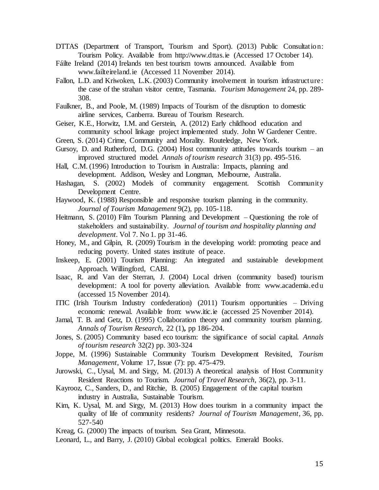- DTTAS (Department of Transport, Tourism and Sport). (2013) Public Consultation: Tourism Policy. Available from http://www.dttas.ie (Accessed 17 October 14).
- Fáilte Ireland (2014) Irelands ten best tourism towns announced. Available from www.failteireland.ie (Accessed 11 November 2014).
- Fallon, L.D. and Kriwoken, L.K. (2003) Community involvement in tourism infrastructure: the case of the strahan visitor centre, Tasmania. *Tourism Management* 24, pp. 289- 308.
- Faulkner, B., and Poole, M. (1989) Impacts of Tourism of the disruption to domestic airline services, Canberra. Bureau of Tourism Research.
- Geiser, K.E., Horwitz, I.M. and Gerstein, A. (2012) Early childhood education and community school linkage project implemented study. John W Gardener Centre.
- Green, S. (2014) Crime, Community and Morality. Routeledge, New York.
- Gursoy, D. and Rutherford, D.G.  $(2004)$  Host community attitudes towards tourism an improved structured model. *Annals of tourism research* 31(3) pp. 495-516.
- Hall, C.M. (1996) Introduction to Tourism in Australia: Impacts, planning and development. Addison, Wesley and Longman, Melbourne, Australia.
- Hashagan, S. (2002) Models of community engagement. Scottish Community Development Centre.
- Haywood, K. (1988) Responsible and responsive tourism planning in the community. *Journal of Tourism Management* 9(2), pp. 105-118.
- Heitmann, S. (2010) Film Tourism Planning and Development Questioning the role of stakeholders and sustainability*. Journal of tourism and hospitality planning and development.* Vol 7. No 1. pp 31-46.
- Honey, M., and Gilpin, R. (2009) Tourism in the developing world: promoting peace and reducing poverty. United states institute of peace.
- Inskeep, E. (2001) Tourism Planning: An integrated and sustainable development Approach. Willingford, CABI.
- Isaac, R. and Van der Sterran, J. (2004) Local driven (community based) tourism development: A tool for poverty alleviation. Available from: www.academia.edu (accessed 15 November 2014).
- ITIC (Irish Tourism Industry confederation) (2011) Tourism opportunities Driving economic renewal. Available from: www.itic.ie (accessed 25 November 2014).
- Jamal, T. B. and Getz, D. (1995) Collaboration theory and community tourism planning. *Annals of Tourism Research,* 22 (1)**,** pp 186-204.
- Jones, S. (2005) Community based eco tourism: the significance of social capital. *Annals of tourism research* 32(2) pp. 303-324
- Joppe, M. (1996) Sustainable Community Tourism Development Revisited, *Tourism Management*, Volume 17, Issue (7): pp. 475-479.
- Jurowski, C., Uysal, M. and Sirgy, M. (2013) A theoretical analysis of Host Community Resident Reactions to Tourism. *Journal of Travel Research*, 36(2), pp. 3-11.
- Kayrooz, C., Sanders, D., and Ritchie, B. (2005) Engagement of the capital tourism industry in Australia, Sustainable Tourism.
- Kim, K. Uysal, M. and Sirgy, M. (2013) How does tourism in a community impact the quality of life of community residents? *Journal of Tourism Management*, 36, pp. 527-540
- Kreag, G. (2000) The impacts of tourism. Sea Grant, Minnesota.
- Leonard, L., and Barry, J. (2010) Global ecological politics. Emerald Books.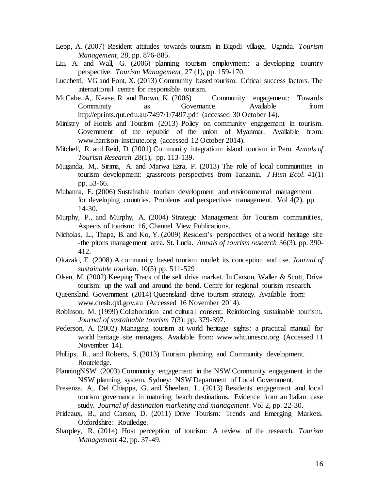- Lepp, A. (2007) Resident attitudes towards tourism in Bigodi village, Uganda. *Tourism Management,* 28, pp. 876-885.
- Liu, A. and Wall, G. (2006) planning tourism employment: a developing country perspective. *Tourism Management,* 27 (1)**,** pp. 159-170.
- Lucchetti, VG and Font, X. (2013) Community based tourism: Critical success factors. The international centre for responsible tourism.
- McCabe, A., Kease, R. and Brown, K. (2006) Community engagement: Towards Community as Governance. Available from http://eprints.qut.edu.au/7497/1/7497.pdf (accessed 30 October 14).
- Ministry of Hotels and Tourism (2013) Policy on community engagement in tourism. Government of the republic of the union of Myanmar. Available from: www.harrison-institute.org (accessed 12 October 2014).
- Mitchell, R. and Reid, D. (2001) Community integration: island tourism in Peru. *Annals of Tourism Research* 28(1), pp. 113-139.
- Muganda, M,. Sirima, A. and Marwa Ezra, P. (2013) The role of local communities in tourism development: grassroots perspectives from Tanzania. *J Hum Ecol*. 41(1) pp. 53-66.
- Muhanna, E. (2006) Sustainable tourism development and environmental management for developing countries. Problems and perspectives management. Vol 4(2), pp. 14-30.
- Murphy, P., and Murphy, A. (2004) Strategic Management for Tourism communities, Aspects of tourism: 16, Channel View Publications.
- Nicholas, L., Thapa, B. and Ko, Y. (2009) Resident's perspectives of a world heritage site -the pitons management area, St. Lucia. *Annals of tourism research* 36(3), pp. 390- 412.
- Okazaki, E. (2008) A community based tourism model: its conception and use. *Journal of sustainable tourism*. 10(5) pp. 511-529
- Olsen, M. (2002) Keeping Track of the self drive market. In Carson, Waller & Scott, Drive tourism: up the wall and around the bend. Centre for regional tourism research.
- Queensland Government (2014) Queensland drive tourism strategy. Available from: www.dtesb.qld.gov.au (Accessed 16 November 2014).
- Robinson, M. (1999) Collaboration and cultural consent: Reinforcing sustainable tourism. *Journal of sustainable tourism* 7(3): pp. 379-397.
- Pederson, A. (2002) Managing tourism at world heritage sights: a practical manual for world heritage site managers. Available from: www.whc.unesco.org (Accessed 11 November 14).
- Phillips, R., and Roberts, S. (2013) Tourism planning and Community development. Routeledge.
- PlanningNSW (2003) Community engagement in the NSW Community engagement in the NSW planning system. Sydney: NSW Department of Local Government.
- Presenza, A,. Del Chiappa, G. and Sheehan, L. (2013) Residents engagement and local tourism governance in maturing beach destinations. Evidence from an Italian case study. *Journal of destination marketing and management*. Vol 2, pp. 22-30.
- Prideaux, B., and Carson, D. (2011) Drive Tourism: Trends and Emerging Markets. Oxfordshire: Routledge.
- Sharpley, R. (2014) Host perception of tourism: A review of the research. *Tourism Management* 42, pp. 37-49.